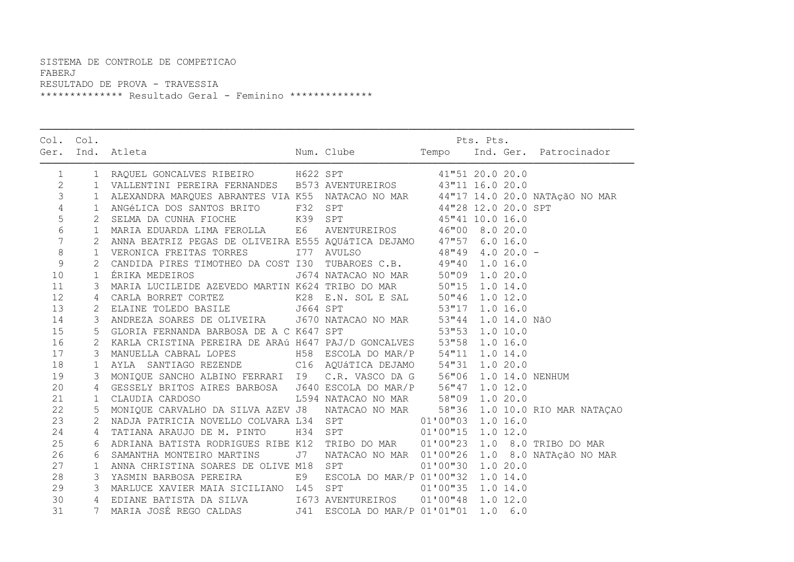## SISTEMA DE CONTROLE DE COMPETICAO FABERJ RESULTADO DE PROVA - TRAVESSIA \*\*\*\*\*\*\*\*\*\*\*\*\*\* Resultado Geral - Feminino \*\*\*\*\*\*\*\*\*\*\*\*\*\*

| Col. Col.       |              |                                                                                                                                                                                                                                              |    |                                                | Pts. Pts.<br>Num. Clube Tempo Ind. Ger. Patrocinador |  |  |  |
|-----------------|--------------|----------------------------------------------------------------------------------------------------------------------------------------------------------------------------------------------------------------------------------------------|----|------------------------------------------------|------------------------------------------------------|--|--|--|
|                 |              | Ger. Ind. Atleta                                                                                                                                                                                                                             |    |                                                |                                                      |  |  |  |
| 1               |              |                                                                                                                                                                                                                                              |    |                                                |                                                      |  |  |  |
| $\overline{2}$  |              | 1 VALLENTINI PEREIRA FERNANDES B573 AVENTUREIROS 43"11 16.0 20.0                                                                                                                                                                             |    |                                                |                                                      |  |  |  |
| 3               |              | 1 ALEXANDRA MARQUES ABRANTES VIA K55 NATACAO NO MAR<br>1 ALEXANDRA MARQUES ABRANTES VIA K55 NATACAO NO MAR<br>1 ANGÉLICA DOS SANTOS BRITO F32 SPT<br>2 SELMA DA CUNHA FIOCHE K39 SPT<br>44"28 12.0 20.0 SPT<br>44"28 12.0 20.0 SPT<br>44"2   |    |                                                |                                                      |  |  |  |
| $\overline{4}$  |              |                                                                                                                                                                                                                                              |    |                                                |                                                      |  |  |  |
| 5               |              |                                                                                                                                                                                                                                              |    |                                                |                                                      |  |  |  |
| $\epsilon$      |              |                                                                                                                                                                                                                                              |    |                                                |                                                      |  |  |  |
| $7\phantom{.0}$ |              |                                                                                                                                                                                                                                              |    |                                                |                                                      |  |  |  |
| $\,8\,$         |              |                                                                                                                                                                                                                                              |    |                                                |                                                      |  |  |  |
| $\mathcal{G}$   |              | 2 CANDIDA PIRES TIMOTHEO DA COST I30 TUBAROES C.B. 49"40 1.0 16.0                                                                                                                                                                            |    |                                                |                                                      |  |  |  |
| 10              |              | 1 ÉRIKA MEDEIROS                                                                                                                                                                                                                             |    | J674 NATACAO NO MAR 50"09 1.0 20.0             |                                                      |  |  |  |
| 11              |              | 3 MARIA LUCILEIDE AZEVEDO MARTIN K624 TRIBO DO MAR<br>4 CARLA BORRET CORTEZ<br>2 ELAINE TOLEDO BASILE<br>3 ANDREZA SOARES DE OLIVEIRA<br>3 ANDREZA SOARES DE OLIVEIRA<br>3 ANDREZA SOARES DE OLIVEIRA<br>3 ANDREZA SOARES DE OLIVEIRA<br>3 A |    |                                                |                                                      |  |  |  |
| 12              |              |                                                                                                                                                                                                                                              |    |                                                |                                                      |  |  |  |
| 13              |              |                                                                                                                                                                                                                                              |    |                                                |                                                      |  |  |  |
| 14              |              |                                                                                                                                                                                                                                              |    |                                                |                                                      |  |  |  |
| 15              |              | 5 GLORIA FERNANDA BARBOSA DE A C K647 SPT                                                                                                                                                                                                    |    | 53"53 1.0 10.0                                 |                                                      |  |  |  |
| 16              |              | 2 KARLA CRISTINA PEREIRA DE ARAÚ H647 PAJ/D GONCALVES 53"58 1.0 16.0                                                                                                                                                                         |    |                                                |                                                      |  |  |  |
| 17              |              | 3 MANUELLA CABRAL LOPES 658 H58 ESCOLA DO MAR/P 54"11 1.0 14.0                                                                                                                                                                               |    |                                                |                                                      |  |  |  |
| 18              |              |                                                                                                                                                                                                                                              |    |                                                |                                                      |  |  |  |
| 19              |              | 1 AYLA SANTIAGO REZENDE C16 AQUÁTICA DEJAMO 54"31 1.0 20.0<br>3 MONIQUE SANCHO ALBINO FERRARI 19 C.R. VASCO DA G 56"06 1.0 14.0 NENHUM                                                                                                       |    |                                                |                                                      |  |  |  |
| 20              | 4            |                                                                                                                                                                                                                                              |    |                                                |                                                      |  |  |  |
| 21              | $\mathbf{1}$ |                                                                                                                                                                                                                                              |    |                                                |                                                      |  |  |  |
| 22              |              | 5 MONIQUE CARVALHO DA SILVA AZEV J8 NATACAO NO MAR 58"36 1.0 10.0 RIO MAR NATAÇAO                                                                                                                                                            |    |                                                |                                                      |  |  |  |
| 23              |              | 2 NADJA PATRICIA NOVELLO COLVARA L34 SPT 01'00"03 1.0 16.0                                                                                                                                                                                   |    |                                                |                                                      |  |  |  |
| 24              |              | 4 TATIANA ARAUJO DE M. PINTO 134 SPT 01'00"15 1.0 12.0                                                                                                                                                                                       |    |                                                |                                                      |  |  |  |
| 25              |              | 6 ADRIANA BATISTA RODRIGUES RIBE K12 TRIBO DO MAR 01'00"23 1.0 8.0 TRIBO DO MAR                                                                                                                                                              |    |                                                |                                                      |  |  |  |
| 26              |              | SAMANTHA MONTEIRO MARTINS                                                                                                                                                                                                                    | J7 | NATACAO NO MAR 01'00"26 1.0 8.0 NATAÇÃO NO MAR |                                                      |  |  |  |
| 27              |              | 1 ANNA CHRISTINA SOARES DE OLIVE M18 SPT                                                                                                                                                                                                     |    |                                                | 01'00"30 1.0 20.0                                    |  |  |  |
| 28              |              | 3 YASMIN BARBOSA PEREIRA E9                                                                                                                                                                                                                  |    | ESCOLA DO MAR/P 01'00"32 1.0 14.0              |                                                      |  |  |  |
| 29              |              | 3 MARLUCE XAVIER MAIA SICILIANO L45 SPT 01'00"35 1.0 14.0                                                                                                                                                                                    |    |                                                |                                                      |  |  |  |
| 30              |              | 4 EDIANE BATISTA DA SILVA 1673 AVENTUREIROS 01'00"48 1.0 12.0                                                                                                                                                                                |    |                                                |                                                      |  |  |  |
| 31              |              | 7 MARIA JOSÉ REGO CALDAS 541 ESCOLA DO MAR/P 01'01"01 1.0 6.0                                                                                                                                                                                |    |                                                |                                                      |  |  |  |